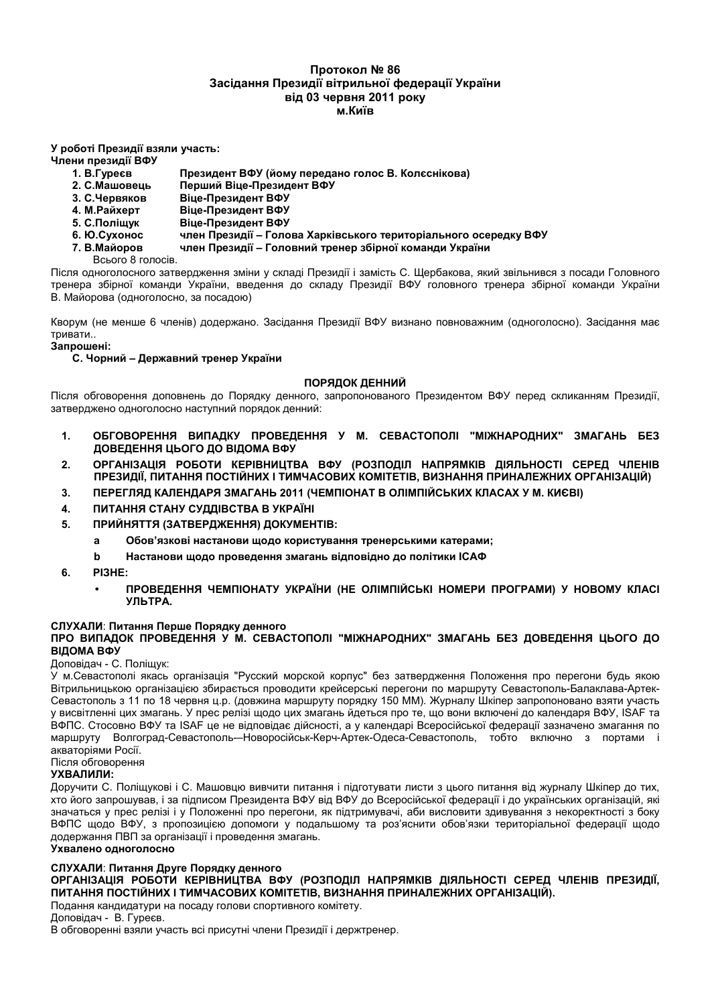# Протокол № 86 Засідання Президії вітрильної федерації України **від 03 червня 2011 року M**. **K***u*<sup> $i$ </sup>**R**

### У роботі Президії взяли участь:

### Члени президії ВФУ

- **1. В.Гуреєв** Пр езидент ВФУ (йому передано голос В. Колєснікова)
- 2. С. Машовець ШИЙ Віце-Президент ВФУ
- **3. С.Червяков** вяков Віце-Президент ВФУ
- **4. М. Райхерт (-- ()**
- **5. С.Поліщук Віце-Президент ВФУ**
- **6. Ю.Сухонос** езидії – Голова Харківського територіального осередку ВФУ
- **7. В. Майоров** ов член Президії – Головний тренер збірної команди України

Всього 8 голосів.

Після одноголосного затвердження зміни у складі Президії і замість С. Щербакова, який звільнився з посади Головного тренера збірної команди України, введення до складу Президії ВФУ головного тренера збірної команди України В. Майорова (одноголосно, за посадою)

Кворум (не менше 6 членів) додержано. Засідання Президії ВФУ визнано повноважним (одноголосно). Засідання має тривати..

### 3апрошені:

### С. Чорний – Державний тренер України

# **ПОРЯДОК ДЕННИЙ**

Після обговорення доповнень до Порядку денного, запропонованого Президентом ВФУ перед скликанням Президії, затверджено одноголосно наступний порядок денний:

- **1. ОБГОВОРЕННЯ ВИПАДКУ ПРОВЕДЕННЯ У М. СЕВАСТОПОЛІ "МІЖНАРОДНИХ" ЗМАГАНЬ БЕЗ ДОВЕДЕННЯ ЦЬОГО ДО ВІДОМА ВФУ**
- $2.$  **ОРГАНІЗАЦІЯ РОБОТИ КЕРІВНИЦТВА ВФУ (РОЗПОДІЛ НАПРЯМКІВ ДІЯЛЬНОСТІ СЕРЕД ЧЛЕНІВ**  $\overline{AB}$  **ПРЕЗИДІЇ, ПИТАННЯ ПОСТІЙНИХ І ТИМЧАСОВИХ КОМІТЕТІВ, ВИЗНАННЯ ПРИНАЛЕЖНИХ ОРГАНІЗАЦІЙ)**
- $3.$  **REPELTABLA KAJEHDAPA 3MAFAHD 2011 (ЧЕМПІОНАТ В ОЛІМПІЙСЬКИХ КЛАСАХ У М. КИЄВІ)**
- $4.$  **ПИТАННЯ СТАНУ СУДДІВСТВА В УКРАЇНІ**
- **5. ПРИЙНЯТТЯ (ЗАТВЕРДЖЕННЯ) ДОКУМЕНТІВ:** 
	- а Обов'язкові настанови щодо користування тренерськими катерами;
	- b Настанови щодо проведення змагань відповідно до політики ICAФ
- **6. 5IBA:**
	- **ПРОВЕДЕННЯ ЧЕМПІОНАТУ УКРАЇНИ (НЕ ОЛІМПІЙСЬКІ НОМЕРИ ПРОГРАМИ) У НОВОМУ КЛАСІ УЛЬТРА.**

# СЛУХАЛИ: Питання Перше Порядку денного

 $\overline{AB}$  **(DBEABBEABBEABBA) M. CEBACTONOJI "MIXHAPOДНИХ" ЗМАГАНЬ БЕЗ ДОВЕДЕННЯ ЦЬОГО ДО ВІДОМА ВФУ** 

### Доповідач - С. Поліщук:

У м.Севастополі якась організація "Русский морской корпус" без затвердження Положення про перегони будь якою Вітрильницькою організацією збирається проводити крейсерські перегони по маршруту Севастополь-Балаклава-Артек-Севастополь з 11 по 18 червня ц.р. (довжина маршруту порядку 150 ММ). Журналу Шкіпер запропоновано взяти участь у висвітленні цих змагань. У прес релізі щодо цих змагань йдеться про те, що вони включені до календаря BФУ, ISAF та ВФПС. Стосовно ВФУ та ISAF це не відповідає дійсності, а у календарі Всеросійської федерації зазначено змагання по маршруту Волгоград-Севастополь—Новоросійськ-Керч-Артек-Одеса-Севастополь, тобто включно з портами і акваторіями Росії.

Після обговорення

### **ухвалили:**

Доручити С. Поліщукові і С. Машовцю вивчити питання і підготувати листи з цього питання від журналу Шкіпер до тих, хто його запрошував, і за підписом Президента ВФУ від ВФУ до Всеросійської федерації і до українських організацій, які значаться у прес релізі і у Положенні про перегони, як підтримувачі, аби висловити здивування з некоректності з боку ВФПС щодо ВФУ, з пропозицією допомоги у подальшому та роз'яснити обов'язки територіальної федерації щодо додержання ПВП за організації і проведення змагань.

### Ухвалено одноголосно

### СЛУХАЛИ: Питання Друге Порядку денного

**?5\*FBIFMI@ 5?E?GC #A5I(BCMG(F () (5??=IH BF5@1#I( =I@HLB?0GI 0A5A= &HABI( 5AC=IN,**  $R$  **ПИТАННЯ ПОСТІЙНИХ І ТИМЧАСОВИХ КОМІТЕТІВ, ВИЗНАННЯ ПРИНАЛЕЖНИХ ОРГАНІЗАЦІЙ).** 

Подання кандидатури на посаду голови спортивного комітету.

### Доповідач - В. Гуреєв.

В обговоренні взяли участь всі присутні члени Президії і держтренер.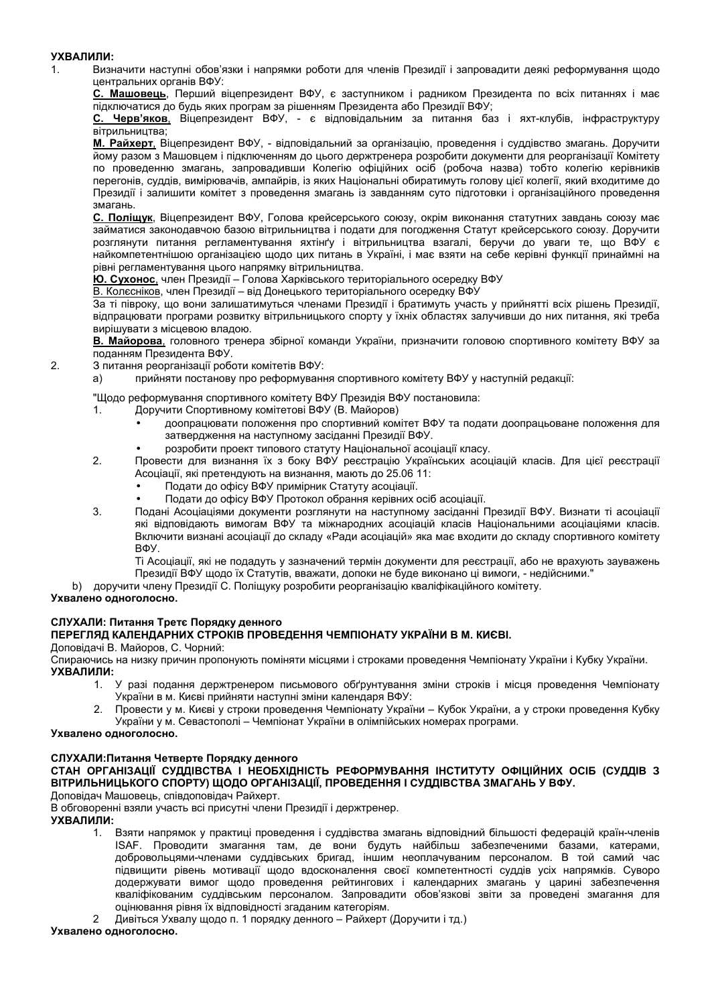# УХВАЛИЛИ:

 $\mathbf 1$ 

 $2.$ 

Визначити наступні обов'язки і напрямки роботи для членів Президії і запровадити деякі реформування щодо центральних органів ВФУ:

С. Машовець, Перший віцепрезидент ВФУ, є заступником і радником Президента по всіх питаннях і має підключатися до будь яких програм за рішенням Президента або Президії ВФУ;

С. Черв'яков, Віцепрезидент ВФУ, - є відповідальним за питання баз і яхт-клубів, інфраструктуру вітрильництва:

М. Райхерт, Віцепрезидент ВФУ, - відповідальний за організацію, проведення і суддівство змагань. Доручити йому разом з Машовцем і підключенням до цього держтренера розробити документи для реорганізації Комітету по проведенню змагань, запровадивши Колегію офіційних осіб (робоча назва) тобто колегію керівників перегонів, суддів, вимірювачів, ампайрів, із яких Національні обиратимуть голову цієї колегії, який входитиме до Президії і залишити комітет з проведення змагань із завданням суто підготовки і організаційного проведення змагань.

С. Поліщук, Віцепрезидент ВФУ, Голова крейсерського союзу, окрім виконання статутних завдань союзу має займатися законодавчою базою вітрильництва і подати для погодження Статут крейсерського союзу. Доручити розглянути питання регламентування яхтінґу і вітрильництва взагалі, беручи до уваги те, що ВФУ є найкомпетентнішою організацією щодо цих питань в Україні, і має взяти на себе керівні функції принаймні на рівні регламентування цього напрямку вітрильництва.

Ю. Сухонос, член Президії – Голова Харківського територіального осередку ВФУ

В. Колесніков, член Президії – від Донецького територіального осередку ВФУ

За ті півроку, що вони залишатимуться членами Президії і братимуть участь у прийнятті всіх рішень Президії, відпрацювати програми розвитку вітрильницького спорту у їхніх областях залучивши до них питання, які треба вирішувати з місцевою владою.

В. Майорова, головного тренера збірної команди України, призначити головою спортивного комітету ВФУ за поданням Президента ВФУ.

- З питання реорганізації роботи комітетів ВФУ:
- прийняти постанову про реформування спортивного комітету ВФУ у наступній редакції:  $a)$

"Щодо реформування спортивного комітету ВФУ Президія ВФУ постановила:

- $\mathbf{1}$ Доручити Спортивному комітетові ВФУ (В. Майоров)
	- доопрацювати положення про спортивний комітет ВФУ та подати доопрацьоване положення для затвердження на наступному засіданні Президії ВФУ.
	- розробити проект типового статуту Національної асоціації класу.
- $2.$ Провести для визнання їх з боку ВФУ реєстрацію Українських асоціацій класів. Для цієї реєстрації Асоціації, які претендують на визнання, мають до 25.06 11:
	- Подати до офісу ВФУ примірник Статуту асоціації.
	- Подати до офісу ВФУ Протокол обрання керівних осіб асоціації.
- Подані Асоціаціями документи розглянути на наступному засіданні Президії ВФУ. Визнати ті асоціації  $\mathcal{R}$ які відповідають вимогам ВФУ та міжнародних асоціацій класів Національними асоціаціями класів. Включити визнані асоціації до складу «Ради асоціацій» яка має входити до складу спортивного комітету BOY.

Ті Асоціації, які не подадуть у зазначений термін документи для реєстрації, або не врахують зауважень Президії ВФУ щодо їх Статутів, вважати, допоки не буде виконано ці вимоги, - недійсними."

b) доручити члену Президії С. Поліщуку розробити реорганізацію кваліфікаційного комітету.

# Ухвалено одноголосно.

# СЛУХАЛИ: Питання Третє Порядку денного

# ПЕРЕГЛЯД КАЛЕНДАРНИХ СТРОКІВ ПРОВЕДЕННЯ ЧЕМПІОНАТУ УКРАЇНИ В М. КИЄВІ.

Доповідачі В. Майоров, С. Чорний:

Спираючись на низку причин пропонують поміняти місцями і строками проведення Чемпіонату України і Кубку України. УХВАЛИЛИ:

- 1. У разі подання держтренером письмового обґрунтування зміни строків і місця проведення Чемпіонату України в м. Києві прийняти наступні зміни календаря ВФУ:
- Провести у м. Києві у строки проведення Чемпіонату України Кубок України, а у строки проведення Кубку України у м. Севастополі - Чемпіонат України в олімпійських номерах програми.

### Ухвалено одноголосно.

# СЛУХАЛИ: Питання Четверте Порядку денного

# СТАН ОРГАНІЗАЦІЇ СУДДІВСТВА І НЕОБХІДНІСТЬ РЕФОРМУВАННЯ ІНСТИТУТУ ОФІЦІЙНИХ ОСІБ (СУДДІВ З ВІТРИЛЬНИЦЬКОГО СПОРТУ) ЩОДО ОРГАНІЗАЦІЇ, ПРОВЕДЕННЯ І СУДДІВСТВА ЗМАГАНЬ У ВФУ.

Доповідач Машовець, співдоповідач Райхерт.

В обговоренні взяли участь всі присутні члени Президії і держтренер.

### УХВАЛИЛИ:

1. Взяти напрямок у практиці проведення і суддівства змагань відповідний більшості федерацій країн-членів ISAF. Проводити змагання там, де вони будуть найбільш забезпеченими базами, катерами, добровольцями-членами суддівських бригад, іншим неоплачуваним персоналом. В той самий час підвищити рівень мотивації щодо вдосконалення своєї компетентності суддів усіх напрямків. Суворо додержувати вимог щодо проведення рейтингових і календарних змагань у царині забезпечення кваліфікованим суддівським персоналом. Запровадити обов'язкові звіти за проведені змагання для оцінювання рівня їх відповідності згаданим категоріям.

Дивіться Ухвалу щодо п. 1 порядку денного - Райхерт (Доручити і тд.)  $\mathcal{P}$ 

# Ухвалено одноголосно.